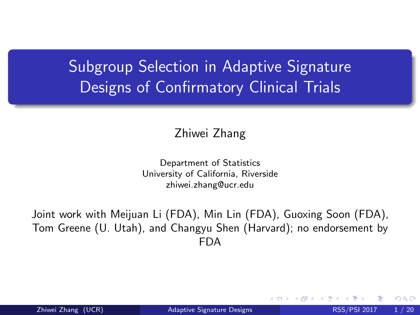## <span id="page-0-0"></span>Subgroup Selection in Adaptive Signature Designs of Confirmatory Clinical Trials

Zhiwei Zhang

Department of Statistics University of California, Riverside zhiwei.zhang@ucr.edu

Joint work with Meijuan Li (FDA), Min Lin (FDA), Guoxing Soon (FDA), Tom Greene (U. Utah), and Changyu Shen (Harvard); no endorsement by FDA

Zhiwei Zhang (UCR) and [Adaptive Signature Designs](#page-19-0) RSS/PSI 2017 1/20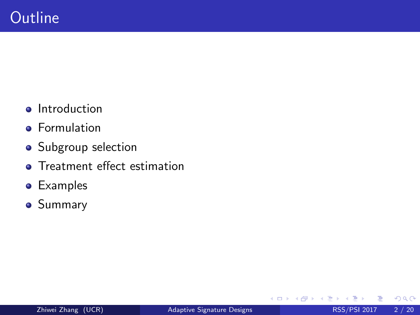- **•** Introduction
- **•** Formulation
- Subgroup selection
- **•** Treatment effect estimation
- Examples
- **•** Summary

4 0 8 ×.  $\rightarrow$  $\rightarrow$ э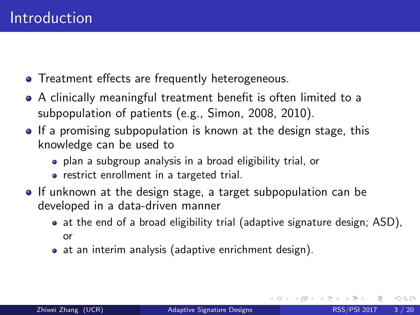- **•** Treatment effects are frequently heterogeneous.
- A clinically meaningful treatment benefit is often limited to a subpopulation of patients (e.g., Simon, 2008, 2010).
- If a promising subpopulation is known at the design stage, this knowledge can be used to
	- plan a subgroup analysis in a broad eligibility trial, or
	- restrict enrollment in a targeted trial.
- If unknown at the design stage, a target subpopulation can be developed in a data-driven manner
	- at the end of a broad eligibility trial (adaptive signature design; ASD), or
	- at an interim analysis (adaptive enrichment design).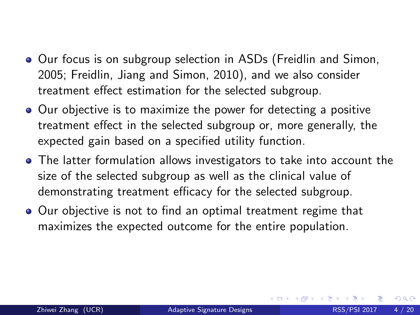- **•** Our focus is on subgroup selection in ASDs (Freidlin and Simon, 2005; Freidlin, Jiang and Simon, 2010), and we also consider treatment effect estimation for the selected subgroup.
- Our objective is to maximize the power for detecting a positive treatment effect in the selected subgroup or, more generally, the expected gain based on a specified utility function.
- The latter formulation allows investigators to take into account the size of the selected subgroup as well as the clinical value of demonstrating treatment efficacy for the selected subgroup.
- Our objective is not to find an optimal treatment regime that maximizes the expected outcome for the entire population.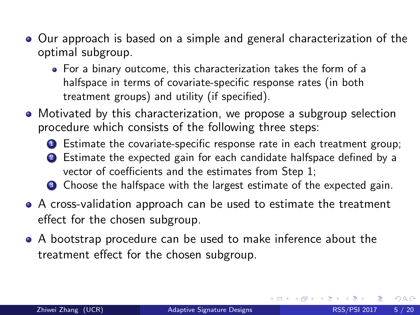- Our approach is based on a simple and general characterization of the optimal subgroup.
	- For a binary outcome, this characterization takes the form of a halfspace in terms of covariate-specific response rates (in both treatment groups) and utility (if specified).
- Motivated by this characterization, we propose a subgroup selection procedure which consists of the following three steps:
	- **1** Estimate the covariate-specific response rate in each treatment group;
	- <sup>2</sup> Estimate the expected gain for each candidate halfspace defined by a vector of coefficients and the estimates from Step 1;
	- **3** Choose the halfspace with the largest estimate of the expected gain.
- A cross-validation approach can be used to estimate the treatment effect for the chosen subgroup.
- A bootstrap procedure can be used to make inference about the treatment effect for the chosen subgroup.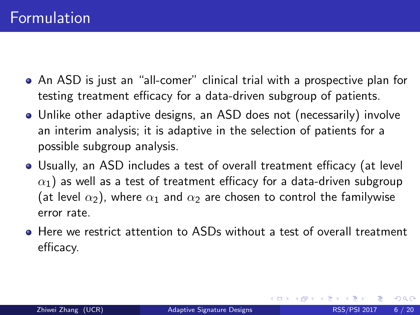- An ASD is just an "all-comer" clinical trial with a prospective plan for testing treatment efficacy for a data-driven subgroup of patients.
- Unlike other adaptive designs, an ASD does not (necessarily) involve an interim analysis; it is adaptive in the selection of patients for a possible subgroup analysis.
- Usually, an ASD includes a test of overall treatment efficacy (at level  $\alpha_1$ ) as well as a test of treatment efficacy for a data-driven subgroup (at level  $\alpha_2$ ), where  $\alpha_1$  and  $\alpha_2$  are chosen to control the familywise error rate.
- Here we restrict attention to ASDs without a test of overall treatment efficacy.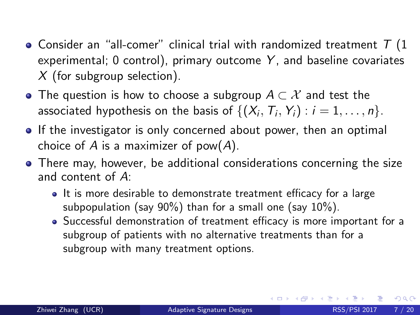- $\bullet$  Consider an "all-comer" clinical trial with randomized treatment  $T$  (1 experimental;  $0$  control), primary outcome Y, and baseline covariates  $X$  (for subgroup selection).
- The question is how to choose a subgroup  $A \subset \mathcal{X}$  and test the associated hypothesis on the basis of  $\{(X_i,\,T_i,\,Y_i) : i = 1,\ldots,n\}.$
- **If the investigator is only concerned about power, then an optimal** choice of A is a maximizer of  $pow(A)$ .
- There may, however, be additional considerations concerning the size and content of A:
	- It is more desirable to demonstrate treatment efficacy for a large subpopulation (say 90%) than for a small one (say 10%).
	- Successful demonstration of treatment efficacy is more important for a subgroup of patients with no alternative treatments than for a subgroup with many treatment options.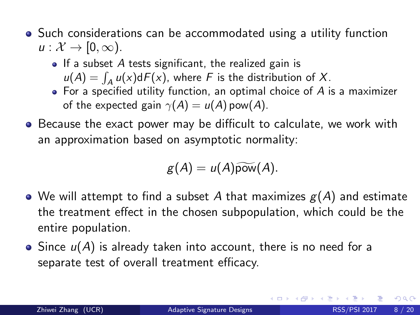- Such considerations can be accommodated using a utility function  $u: \mathcal{X} \to [0, \infty)$ .
	- $\bullet$  If a subset A tests significant, the realized gain is  $u(A) = \int_A u(x) dF(x)$ , where F is the distribution of X.
	- $\bullet$  For a specified utility function, an optimal choice of  $A$  is a maximizer of the expected gain  $\gamma(A) = u(A)$  pow(A).
- Because the exact power may be difficult to calculate, we work with an approximation based on asymptotic normality:

$$
g(A) = u(A)\widetilde{\mathrm{pow}}(A).
$$

- We will attempt to find a subset A that maximizes  $g(A)$  and estimate the treatment effect in the chosen subpopulation, which could be the entire population.
- Since  $u(A)$  is already taken into account, there is no need for a separate test of overall treatment efficacy.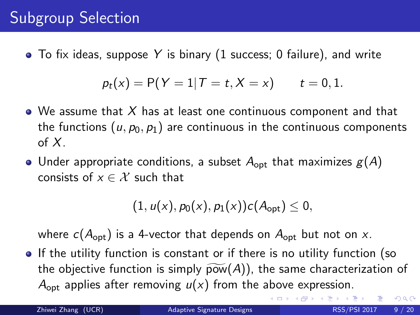## Subgroup Selection

 $\bullet$  To fix ideas, suppose Y is binary (1 success; 0 failure), and write

$$
p_t(x) = P(Y = 1 | T = t, X = x)
$$
  $t = 0, 1.$ 

- $\bullet$  We assume that X has at least one continuous component and that the functions  $(u, p_0, p_1)$  are continuous in the continuous components of  $X<sub>1</sub>$
- Under appropriate conditions, a subset  $A_{opt}$  that maximizes  $g(A)$ consists of  $x \in \mathcal{X}$  such that

$$
(1, u(x), p_0(x), p_1(x))c(A_{\text{opt}}) \leq 0,
$$

where  $c(A_{opt})$  is a 4-vector that depends on  $A_{opt}$  but not on x.

• If the utility function is constant or if there is no utility function (so the objective function is simply  $\widetilde{pow}(A)$ , the same characterization of  $A_{\text{opt}}$  applies after removing  $u(x)$  from the above expression.

 $QQ$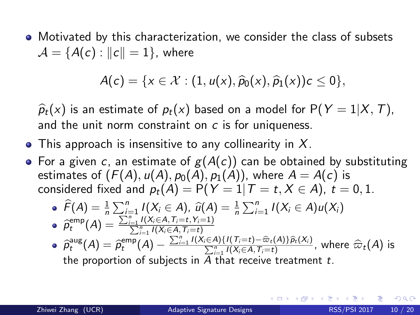Motivated by this characterization, we consider the class of subsets  $\mathcal{A} = \{A(c) : ||c|| = 1\}$ , where

$$
A(c) = \{x \in \mathcal{X} : (1, u(x), \widehat{p}_0(x), \widehat{p}_1(x))c \leq 0\},\
$$

 $\widehat{p}_t(x)$  is an estimate of  $p_t(x)$  based on a model for  $P(Y=1|X,T)$ , and the unit norm constraint on c is for uniqueness.

- This approach is insensitive to any collinearity in  $X$ .
- For a given c, an estimate of  $g(A(c))$  can be obtained by substituting estimates of  $(F(A), u(A), p_0(A), p_1(A))$ , where  $A = A(c)$  is considered fixed and  $p_t(A) = P(Y = 1 | T = t, X \in A)$ ,  $t = 0, 1$ .

$$
\widehat{F}(A) = \frac{1}{n} \sum_{i=1}^{n} I(X_i \in A), \ \widehat{u}(A) = \frac{1}{n} \sum_{i=1}^{n} I(X_i \in A)u(X_i)
$$

\n- \n
$$
\hat{\rho}_t^{\text{emp}}(A) = \frac{\sum_{i=1}^{t} (X_i \in A, i) - t}{\sum_{i=1}^{n} I(X_i \in A, \overline{T_i} = t)}
$$
\n
\n- \n
$$
\hat{\rho}_t^{\text{aug}}(A) = \hat{\rho}_t^{\text{emp}}(A) - \frac{\sum_{i=1}^{n} I(X_i \in A) \{ I(\overline{T_i} = t) - \hat{\varpi}_t(A) \} \hat{\rho}_t(X_i)}{\sum_{i=1}^{n} I(X_i \in A, \overline{T_i} = t)}
$$
, where  $\hat{\varpi}_t(A)$  is the proportion of subjects in *A* that receive treatment *t*.\n
\n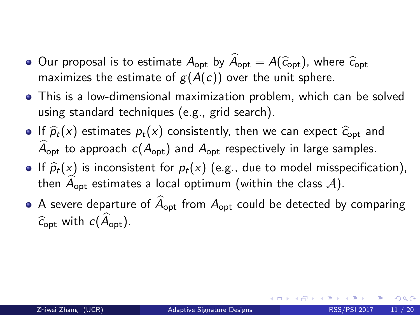- Our proposal is to estimate  $A_{opt}$  by  $A_{opt} = A(\hat{c}_{opt})$ , where  $\hat{c}_{opt}$ maximizes the estimate of  $g(A(c))$  over the unit sphere.
- This is a low-dimensional maximization problem, which can be solved using standard techniques (e.g., grid search).
- If  $\hat{p}_t(x)$  estimates  $p_t(x)$  consistently, then we can expect  $\hat{c}_{opt}$  and  $\widehat{A}_{\text{ont}}$  to approach  $c(A_{\text{out}})$  and  $A_{\text{out}}$  respectively in large samples.
- If  $\hat{p}_t(x)$  is inconsistent for  $p_t(x)$  (e.g., due to model misspecification), then  $A_{\text{opt}}$  estimates a local optimum (within the class A).
- A severe departure of  $\widehat{A}_{\text{opt}}$  from  $A_{\text{opt}}$  could be detected by comparing  $\hat{c}_{\text{ont}}$  with  $c(\hat{A}_{\text{ont}})$ .

つひひ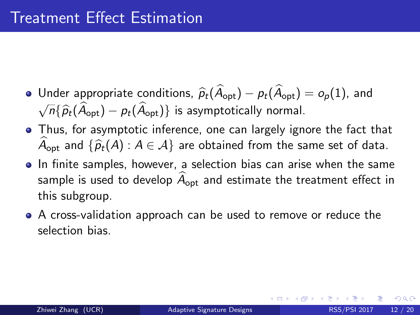- $\bullet$  Under appropriate conditions,  $\widehat{p}_t(\widehat{A}_{\text{opt}}) p_t(\widehat{A}_{\text{opt}}) = o_p(1)$ , and  $\sqrt{n} {\{\hat{p}_t(\hat{A}_{\text{opt}}) - p_t(\hat{A}_{\text{opt}})\}}$  is asymptotically normal.
- Thus, for asymptotic inference, one can largely ignore the fact that  $A_{\text{opt}}$  and  $\{\widehat{p}_t(A) : A \in \mathcal{A}\}\$  are obtained from the same set of data.
- In finite samples, however, a selection bias can arise when the same sample is used to develop  $A_{\text{opt}}$  and estimate the treatment effect in this subgroup.
- A cross-validation approach can be used to remove or reduce the selection bias.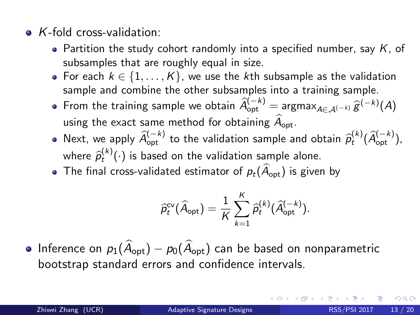- $\bullet$  K-fold cross-validation:
	- Partition the study cohort randomly into a specified number, say  $K$ , of subsamples that are roughly equal in size.
	- For each  $k \in \{1, \ldots, K\}$ , we use the kth subsample as the validation sample and combine the other subsamples into a training sample.
	- From the training sample we obtain  $\widehat{A}_{\text{opt}}^{(-k)} = \operatorname{argmax}_{A \in \mathcal{A}^{(-k)}} \widehat{g}^{(-k)}(A)$ using the exact same method for obtaining  $\hat{A}_{\text{opt}}$ .
	- Next, we apply  $\widehat{A}_{\text{opt}}^{(-k)}$  to the validation sample and obtain  $\widehat{p}_t^{(k)}(\widehat{A}_{\text{opt}}^{(-k)}),$ where  $\widehat{\rho}_t^{(k)}(\cdot)$  is based on the validation sample alone.<br>The final exace validated estimator of a  $(\widehat{A}, \cdot)$  is given
	- The final cross-validated estimator of  $p_t(\widehat{A}_{\text{opt}})$  is given by

$$
\widehat{p}_t^{\text{cv}}(\widehat{A}_{\text{opt}}) = \frac{1}{K}\sum_{k=1}^K \widehat{p}_t^{(k)}(\widehat{A}_{\text{opt}}^{(-k)}).
$$

• Inference on  $p_1(\widehat{A}_{\text{opt}}) - p_0(\widehat{A}_{\text{opt}})$  can be based on nonparametric bootstrap standard errors and confidence intervals.

つひひ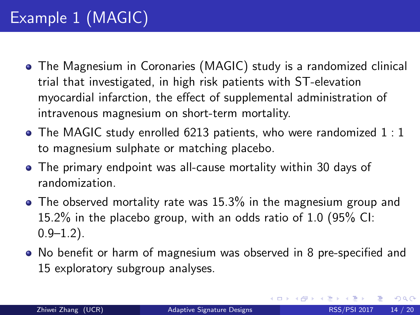## Example 1 (MAGIC)

- The Magnesium in Coronaries (MAGIC) study is a randomized clinical trial that investigated, in high risk patients with ST-elevation myocardial infarction, the effect of supplemental administration of intravenous magnesium on short-term mortality.
- The MAGIC study enrolled 6213 patients, who were randomized 1:1 to magnesium sulphate or matching placebo.
- The primary endpoint was all-cause mortality within 30 days of randomization.
- The observed mortality rate was 15.3% in the magnesium group and 15.2% in the placebo group, with an odds ratio of 1.0 (95% CI:  $0.9 - 1.2$ ).
- No benefit or harm of magnesium was observed in 8 pre-specified and 15 exploratory subgroup analyses.

 $\Omega$ 

**K ロ ト K 何 ト K ヨ ト K**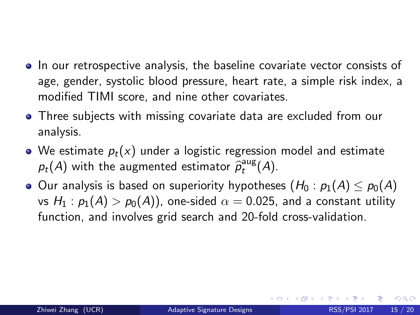- In our retrospective analysis, the baseline covariate vector consists of age, gender, systolic blood pressure, heart rate, a simple risk index, a modified TIMI score, and nine other covariates.
- Three subjects with missing covariate data are excluded from our analysis.
- We estimate  $p_t(x)$  under a logistic regression model and estimate  $p_t(A)$  with the augmented estimator  $\widehat{p}_t^{\text{aug}}(A)$ .
- Our analysis is based on superiority hypotheses  $(H_0 : p_1(A) \leq p_0(A))$ vs  $H_1$ :  $p_1(A) > p_0(A)$ , one-sided  $\alpha = 0.025$ , and a constant utility function, and involves grid search and 20-fold cross-validation.

つへへ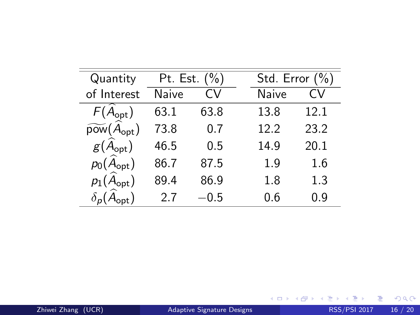<span id="page-15-0"></span>

| Quantity                                                       | Pt. Est. $(\% )$ |        | Std. Error $(\%)$ |
|----------------------------------------------------------------|------------------|--------|-------------------|
| of Interest                                                    | Naive            | CV     | Naive<br>CV       |
| $F(A_{\text{opt}})$                                            | 63.1             | 63.8   | 13.8<br>12.1      |
| $\widetilde{\mathsf{pow}}\big(\widehat{A}_{\mathsf{opt}}\big)$ | 73.8             | 0.7    | 23.2<br>12.2      |
| $g(A_{\text{opt}})$                                            | 46.5             | 0.5    | 20.1<br>14.9      |
| $p_0(A_{\text{opt}})$                                          | 86.7             | 87.5   | 1.6<br>1.9        |
| $p_1(A_{\text{opt}})$                                          | 89.4             | 86.9   | 1.3<br>1.8        |
|                                                                | 27               | $-0.5$ | Ი.Ნ<br>0.9        |
|                                                                |                  |        |                   |

K ロ > K 個 > K 差 > K 差 > → 差 → の Q @ .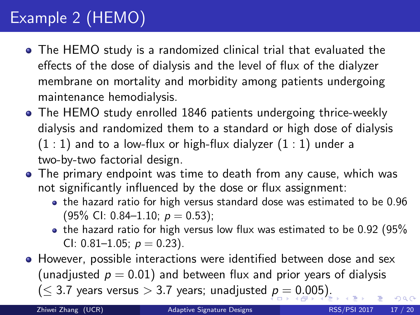## <span id="page-16-0"></span>Example 2 (HEMO)

- The HEMO study is a randomized clinical trial that evaluated the effects of the dose of dialysis and the level of flux of the dialyzer membrane on mortality and morbidity among patients undergoing maintenance hemodialysis.
- The HEMO study enrolled 1846 patients undergoing thrice-weekly dialysis and randomized them to a standard or high dose of dialysis  $(1:1)$  and to a low-flux or high-flux dialyzer  $(1:1)$  under a two-by-two factorial design.
- The primary endpoint was time to death from any cause, which was not significantly influenced by the dose or flux assignment:
	- the hazard ratio for high versus standard dose was estimated to be 0.96  $(95\% \text{ Cl: } 0.84-1.10; \ p = 0.53);$
	- the hazard ratio for high versus low flux was estimated to be 0.92 (95% CI: 0.81–1.05;  $p = 0.23$ ).
- **•** However, possible interactions were identified between dose and sex (unadjusted  $p = 0.01$ ) and between flux and prior years of dialysis  $(\leq 3.7$  $(\leq 3.7$  $(\leq 3.7$  years versus  $> 3.7$  years; unadjusted  $p = 0.005$  $p = 0.005$  $p = 0.005$  $p = 0.005$  $p = 0.005$  $p = 0.005$  $p = 0.005$ ).  $\Omega$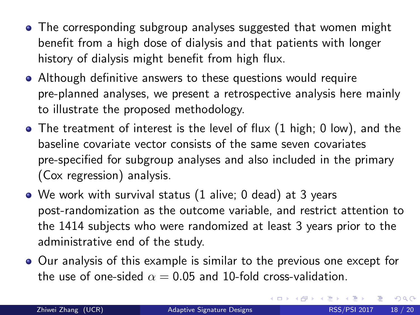- <span id="page-17-0"></span>• The corresponding subgroup analyses suggested that women might benefit from a high dose of dialysis and that patients with longer history of dialysis might benefit from high flux.
- Although definitive answers to these questions would require pre-planned analyses, we present a retrospective analysis here mainly to illustrate the proposed methodology.
- $\bullet$  The treatment of interest is the level of flux (1 high; 0 low), and the baseline covariate vector consists of the same seven covariates pre-specified for subgroup analyses and also included in the primary (Cox regression) analysis.
- We work with survival status (1 alive; 0 dead) at 3 years post-randomization as the outcome variable, and restrict attention to the 1414 subjects who were randomized at least 3 years prior to the administrative end of the study.
- Our analysis of this example is similar to the previous one except for the use of one-sided  $\alpha = 0.05$  and 10-fold cross-validation.

 $\Omega$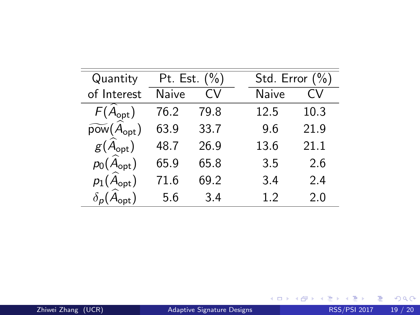| Quantity                                               | Pt. Est. $(\% )$ |      | Std. Error $(\%)$ |              |      |
|--------------------------------------------------------|------------------|------|-------------------|--------------|------|
| of Interest                                            | Naive            | CV   |                   | <b>Naive</b> | CV   |
| $F(\hat{A}_{opt})$                                     | 76.2             | 79.8 |                   | 12.5         | 10.3 |
| $\widetilde{\mathsf{pow}}(\widehat{A}_{\mathsf{opt}})$ | 63.9             | 33.7 |                   | 9.6          | 21.9 |
| $g(A_{\text{opt}})$                                    | 48.7             | 26.9 |                   | 13.6         | 21.1 |
| $p_0(\widehat{A}_{\text{opt}})$                        | 65.9             | 65.8 |                   | 3.5          | 2.6  |
| $p_1(A_{\text{opt}})$                                  | 71.6             | 69.2 |                   | 3.4          | 2.4  |
| $\delta_{p}(A_{\text{opt}})$                           | 5.6              | 3.4  |                   | 1.2          | 2.0  |

メロトメ 御 トメ 君 トメ 君 ト

 $\equiv$  990